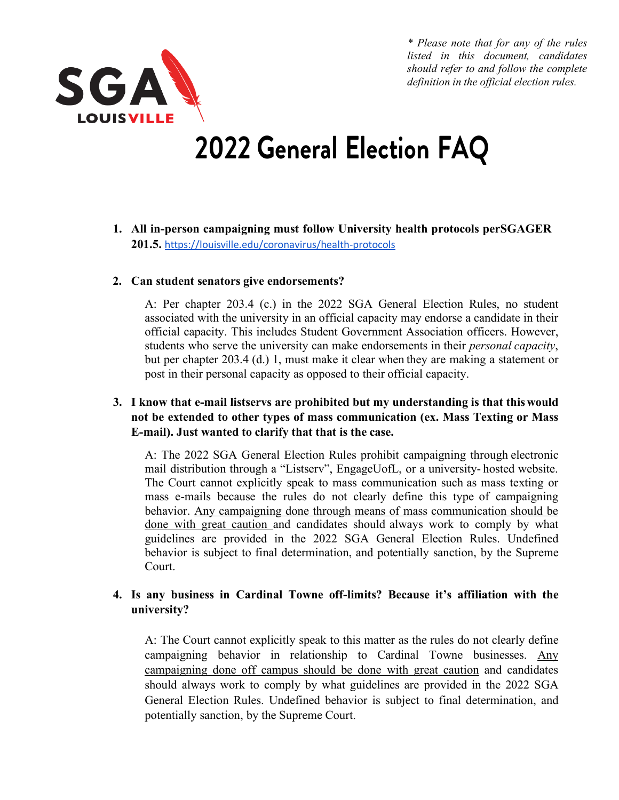

*\* Please note that for any of the rules listed in this document, candidates should refer to and follow the complete definition in the official election rules.*

# **2022 General Election FAQ**

**1. All in-person campaigning must follow University health protocols perSGAGER 201.5.** https://louisville.edu/coronavirus/health-protocols

#### **2. Can student senators give endorsements?**

A: Per chapter 203.4 (c.) in the 2022 SGA General Election Rules, no student associated with the university in an official capacity may endorse a candidate in their official capacity. This includes Student Government Association officers. However, students who serve the university can make endorsements in their *personal capacity*, but per chapter 203.4 (d.) 1, must make it clear when they are making a statement or post in their personal capacity as opposed to their official capacity.

## **3. I know that e-mail listservs are prohibited but my understanding is that thiswould not be extended to other types of mass communication (ex. Mass Texting or Mass E-mail). Just wanted to clarify that that is the case.**

A: The 2022 SGA General Election Rules prohibit campaigning through electronic mail distribution through a "Listserv", EngageUofL, or a university- hosted website. The Court cannot explicitly speak to mass communication such as mass texting or mass e-mails because the rules do not clearly define this type of campaigning behavior. Any campaigning done through means of mass communication should be done with great caution and candidates should always work to comply by what guidelines are provided in the 2022 SGA General Election Rules. Undefined behavior is subject to final determination, and potentially sanction, by the Supreme Court.

## **4. Is any business in Cardinal Towne off-limits? Because it's affiliation with the university?**

A: The Court cannot explicitly speak to this matter as the rules do not clearly define campaigning behavior in relationship to Cardinal Towne businesses. Any campaigning done off campus should be done with great caution and candidates should always work to comply by what guidelines are provided in the 2022 SGA General Election Rules. Undefined behavior is subject to final determination, and potentially sanction, by the Supreme Court.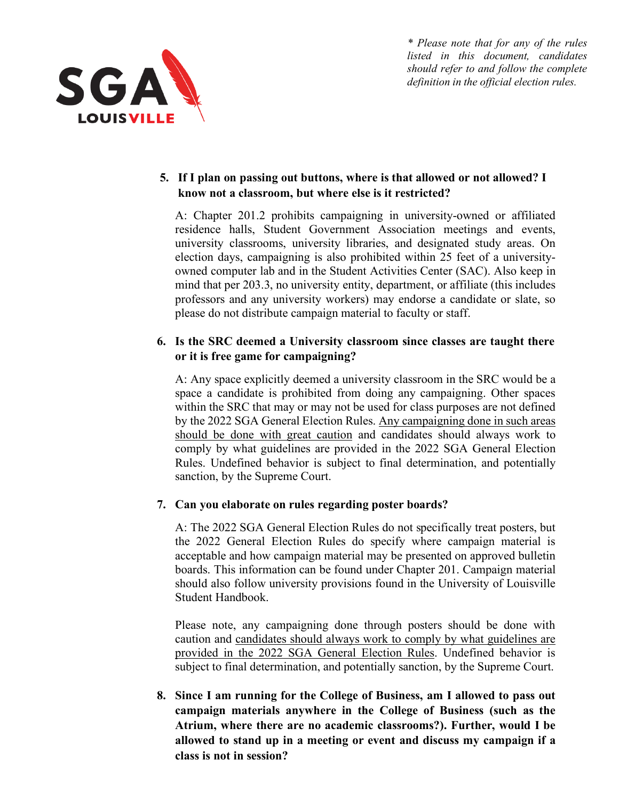

*\* Please note that for any of the rules listed in this document, candidates should refer to and follow the complete definition in the official election rules.*

# **5. If I plan on passing out buttons, where is that allowed or not allowed? I know not a classroom, but where else is it restricted?**

A: Chapter 201.2 prohibits campaigning in university-owned or affiliated residence halls, Student Government Association meetings and events, university classrooms, university libraries, and designated study areas. On election days, campaigning is also prohibited within 25 feet of a universityowned computer lab and in the Student Activities Center (SAC). Also keep in mind that per 203.3, no university entity, department, or affiliate (this includes professors and any university workers) may endorse a candidate or slate, so please do not distribute campaign material to faculty or staff.

# **6. Is the SRC deemed a University classroom since classes are taught there or it is free game for campaigning?**

A: Any space explicitly deemed a university classroom in the SRC would be a space a candidate is prohibited from doing any campaigning. Other spaces within the SRC that may or may not be used for class purposes are not defined by the 2022 SGA General Election Rules. Any campaigning done in such areas should be done with great caution and candidates should always work to comply by what guidelines are provided in the 2022 SGA General Election Rules. Undefined behavior is subject to final determination, and potentially sanction, by the Supreme Court.

## **7. Can you elaborate on rules regarding poster boards?**

A: The 2022 SGA General Election Rules do not specifically treat posters, but the 2022 General Election Rules do specify where campaign material is acceptable and how campaign material may be presented on approved bulletin boards. This information can be found under Chapter 201. Campaign material should also follow university provisions found in the University of Louisville Student Handbook.

Please note, any campaigning done through posters should be done with caution and candidates should always work to comply by what guidelines are provided in the 2022 SGA General Election Rules. Undefined behavior is subject to final determination, and potentially sanction, by the Supreme Court.

**8. Since I am running for the College of Business, am I allowed to pass out campaign materials anywhere in the College of Business (such as the Atrium, where there are no academic classrooms?). Further, would I be allowed to stand up in a meeting or event and discuss my campaign if a class is not in session?**